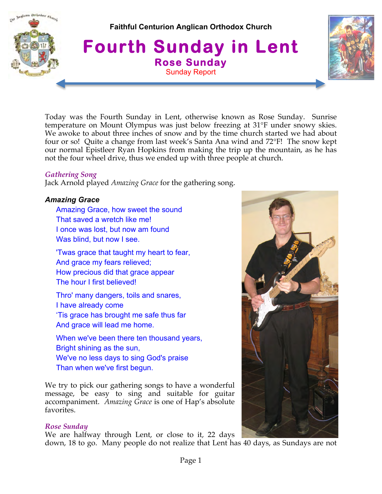

Today was the Fourth Sunday in Lent, otherwise known as Rose Sunday. Sunrise temperature on Mount Olympus was just below freezing at 31°F under snowy skies. We awoke to about three inches of snow and by the time church started we had about four or so! Quite a change from last week's Santa Ana wind and 72°F! The snow kept our normal Epistleer Ryan Hopkins from making the trip up the mountain, as he has not the four wheel drive, thus we ended up with three people at church.

## *Gathering Song*

Jack Arnold played *Amazing Grace* for the gathering song.

## *Amazing Grace*

Amazing Grace, how sweet the sound That saved a wretch like me! I once was lost, but now am found Was blind, but now I see.

'Twas grace that taught my heart to fear, And grace my fears relieved; How precious did that grace appear The hour I first believed!

Thro' many dangers, toils and snares, I have already come 'Tis grace has brought me safe thus far And grace will lead me home.

When we've been there ten thousand years, Bright shining as the sun, We've no less days to sing God's praise Than when we've first begun.

We try to pick our gathering songs to have a wonderful message, be easy to sing and suitable for guitar accompaniment. *Amazing Grace* is one of Hap's absolute favorites.

## *Rose Sunday*

We are halfway through Lent, or close to it, 22 days down, 18 to go. Many people do not realize that Lent has 40 days, as Sundays are not

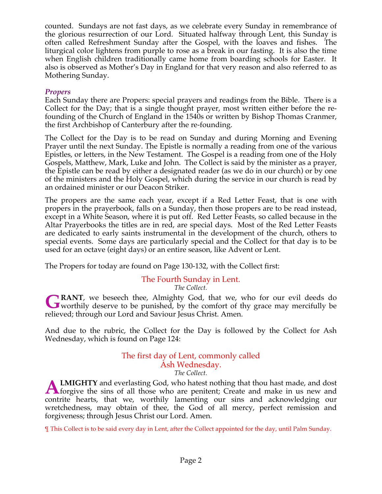counted. Sundays are not fast days, as we celebrate every Sunday in remembrance of the glorious resurrection of our Lord. Situated halfway through Lent, this Sunday is often called Refreshment Sunday after the Gospel, with the loaves and fishes. The liturgical color lightens from purple to rose as a break in our fasting. It is also the time when English children traditionally came home from boarding schools for Easter. It also is observed as Mother's Day in England for that very reason and also referred to as Mothering Sunday.

## *Propers*

Each Sunday there are Propers: special prayers and readings from the Bible. There is a Collect for the Day; that is a single thought prayer, most written either before the refounding of the Church of England in the 1540s or written by Bishop Thomas Cranmer, the first Archbishop of Canterbury after the re-founding.

The Collect for the Day is to be read on Sunday and during Morning and Evening Prayer until the next Sunday. The Epistle is normally a reading from one of the various Epistles, or letters, in the New Testament. The Gospel is a reading from one of the Holy Gospels, Matthew, Mark, Luke and John. The Collect is said by the minister as a prayer, the Epistle can be read by either a designated reader (as we do in our church) or by one of the ministers and the Holy Gospel, which during the service in our church is read by an ordained minister or our Deacon Striker.

The propers are the same each year, except if a Red Letter Feast, that is one with propers in the prayerbook, falls on a Sunday, then those propers are to be read instead, except in a White Season, where it is put off. Red Letter Feasts, so called because in the Altar Prayerbooks the titles are in red, are special days. Most of the Red Letter Feasts are dedicated to early saints instrumental in the development of the church, others to special events. Some days are particularly special and the Collect for that day is to be used for an octave (eight days) or an entire season, like Advent or Lent.

The Propers for today are found on Page 130-132, with the Collect first:

# The Fourth Sunday in Lent.

*The Collect.*

**RANT**, we beseech thee, Almighty God, that we, who for our evil deeds do GRANT, we beseech thee, Almighty God, that we, who for our evil deeds do worthily deserve to be punished, by the comfort of thy grace may mercifully be relieved; through our Lord and Saviour Jesus Christ. Amen.

And due to the rubric, the Collect for the Day is followed by the Collect for Ash Wednesday, which is found on Page 124:

#### The first day of Lent, commonly called Ash Wednesday. *The Collect.*

**LMIGHTY** and everlasting God, who hatest nothing that thou hast made, and dost **ALMIGHTY** and everlasting God, who hatest nothing that thou hast made, and dost forgive the sins of all those who are penitent; Create and make in us new and contrite hearts, that we, worthily lamenting our sins and acknowledging our wretchedness, may obtain of thee, the God of all mercy, perfect remission and forgiveness; through Jesus Christ our Lord. Amen.

¶ This Collect is to be said every day in Lent, after the Collect appointed for the day, until Palm Sunday.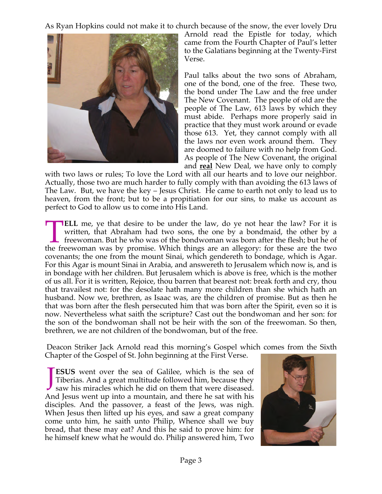As Ryan Hopkins could not make it to church because of the snow, the ever lovely Dru



Arnold read the Epistle for today, which came from the Fourth Chapter of Paul's letter to the Galatians beginning at the Twenty-First Verse.

Paul talks about the two sons of Abraham, one of the bond, one of the free. These two, the bond under The Law and the free under The New Covenant. The people of old are the people of The Law, 613 laws by which they must abide. Perhaps more properly said in practice that they must work around or evade those 613. Yet, they cannot comply with all the laws nor even work around them. They are doomed to failure with no help from God. As people of The New Covenant, the original and **real** New Deal, we have only to comply

with two laws or rules; To love the Lord with all our hearts and to love our neighbor. Actually, those two are much harder to fully comply with than avoiding the 613 laws of The Law. But, we have the key – Jesus Christ. He came to earth not only to lead us to heaven, from the front; but to be a propitiation for our sins, to make us account as perfect to God to allow us to come into His Land.

**IELL** me, ye that desire to be under the law, do ye not hear the law? For it is written, that Abraham had two sons, the one by a bondmaid, the other by a freewoman. But he who was of the bondwoman was born after the flesh; but he of **ELL** me, ye that desire to be under the law, do ye not hear the law? For it is written, that Abraham had two sons, the one by a bondmaid, the other by a freewoman. But he who was of the bondwoman was born after the flesh; covenants; the one from the mount Sinai, which gendereth to bondage, which is Agar. For this Agar is mount Sinai in Arabia, and answereth to Jerusalem which now is, and is in bondage with her children. But Jerusalem which is above is free, which is the mother of us all. For it is written, Rejoice, thou barren that bearest not: break forth and cry, thou that travailest not: for the desolate hath many more children than she which hath an husband. Now we, brethren, as Isaac was, are the children of promise. But as then he that was born after the flesh persecuted him that was born after the Spirit, even so it is now. Nevertheless what saith the scripture? Cast out the bondwoman and her son: for the son of the bondwoman shall not be heir with the son of the freewoman. So then, brethren, we are not children of the bondwoman, but of the free.

Deacon Striker Jack Arnold read this morning's Gospel which comes from the Sixth Chapter of the Gospel of St. John beginning at the First Verse.

**ESUS** went over the sea of Galilee, which is the sea of Tiberias. And a great multitude followed him, because they saw his miracles which he did on them that were diseased. Tiberias. And a great multitude followed him, because they saw his miracles which he did on them that were diseased. And Jesus went up into a mountain, and there he sat with his disciples. And the passover, a feast of the Jews, was nigh. When Jesus then lifted up his eyes, and saw a great company come unto him, he saith unto Philip, Whence shall we buy bread, that these may eat? And this he said to prove him: for he himself knew what he would do. Philip answered him, Two

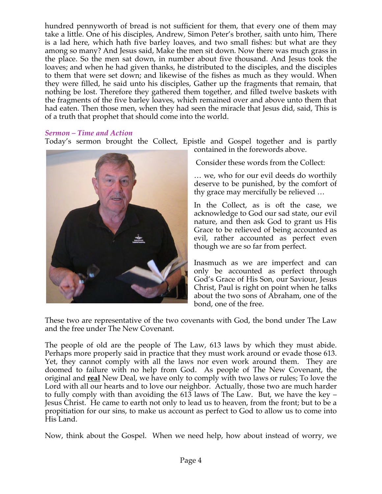hundred pennyworth of bread is not sufficient for them, that every one of them may take a little. One of his disciples, Andrew, Simon Peter's brother, saith unto him, There is a lad here, which hath five barley loaves, and two small fishes: but what are they among so many? And Jesus said, Make the men sit down. Now there was much grass in the place. So the men sat down, in number about five thousand. And Jesus took the loaves; and when he had given thanks, he distributed to the disciples, and the disciples to them that were set down; and likewise of the fishes as much as they would. When they were filled, he said unto his disciples, Gather up the fragments that remain, that nothing be lost. Therefore they gathered them together, and filled twelve baskets with the fragments of the five barley loaves, which remained over and above unto them that had eaten. Then those men, when they had seen the miracle that Jesus did, said, This is of a truth that prophet that should come into the world.

## *Sermon – Time and Action*

Today's sermon brought the Collect, Epistle and Gospel together and is partly



Consider these words from the Collect:

contained in the forewords above.

… we, who for our evil deeds do worthily deserve to be punished, by the comfort of thy grace may mercifully be relieved …

In the Collect, as is oft the case, we acknowledge to God our sad state, our evil nature, and then ask God to grant us His Grace to be relieved of being accounted as evil, rather accounted as perfect even though we are so far from perfect.

Inasmuch as we are imperfect and can only be accounted as perfect through God's Grace of His Son, our Saviour, Jesus Christ, Paul is right on point when he talks about the two sons of Abraham, one of the bond, one of the free.

These two are representative of the two covenants with God, the bond under The Law and the free under The New Covenant.

The people of old are the people of The Law, 613 laws by which they must abide. Perhaps more properly said in practice that they must work around or evade those 613. Yet, they cannot comply with all the laws nor even work around them. They are doomed to failure with no help from God. As people of The New Covenant, the original and **real** New Deal, we have only to comply with two laws or rules; To love the Lord with all our hearts and to love our neighbor. Actually, those two are much harder to fully comply with than avoiding the 613 laws of The Law. But, we have the key – Jesus Christ. He came to earth not only to lead us to heaven, from the front; but to be a propitiation for our sins, to make us account as perfect to God to allow us to come into His Land.

Now, think about the Gospel. When we need help, how about instead of worry, we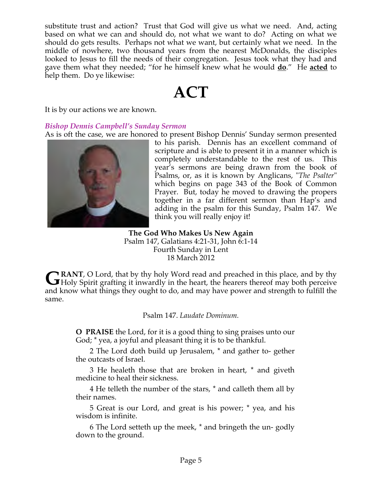substitute trust and action? Trust that God will give us what we need. And, acting based on what we can and should do, not what we want to do? Acting on what we should do gets results. Perhaps not what we want, but certainly what we need. In the middle of nowhere, two thousand years from the nearest McDonalds, the disciples looked to Jesus to fill the needs of their congregation. Jesus took what they had and gave them what they needed; "for he himself knew what he would **do**." He **acted** to help them. Do ye likewise:

# **ACT**

It is by our actions we are known.

# *Bishop Dennis Campbell's Sunday Sermon*

As is oft the case, we are honored to present Bishop Dennis' Sunday sermon presented



to his parish. Dennis has an excellent command of scripture and is able to present it in a manner which is completely understandable to the rest of us. This year's sermons are being drawn from the book of Psalms, or, as it is known by Anglicans, "*The Psalter*" which begins on page 343 of the Book of Common Prayer. But, today he moved to drawing the propers together in a far different sermon than Hap's and adding in the psalm for this Sunday, Psalm 147. We think you will really enjoy it!

#### **The God Who Makes Us New Again** Psalm 147, Galatians 4:21-31, John 6:1-14 Fourth Sunday in Lent 18 March 2012

**C** RANT, O Lord, that by thy holy Word read and preached in this place, and by thy Holy Spirit grafting it inwardly in the heart, the hearers thereof may both perceive Holy Spirit grafting it inwardly in the heart, the hearers thereof may both perceive and know what things they ought to do, and may have power and strength to fulfill the same.

Psalm 147. *Laudate Dominum.*

**O PRAISE** the Lord, for it is a good thing to sing praises unto our God; \* yea, a joyful and pleasant thing it is to be thankful.

2 The Lord doth build up Jerusalem, \* and gather to- gether the outcasts of Israel.

3 He healeth those that are broken in heart, \* and giveth medicine to heal their sickness.

4 He telleth the number of the stars, \* and calleth them all by their names.

5 Great is our Lord, and great is his power; \* yea, and his wisdom is infinite.

6 The Lord setteth up the meek, \* and bringeth the un- godly down to the ground.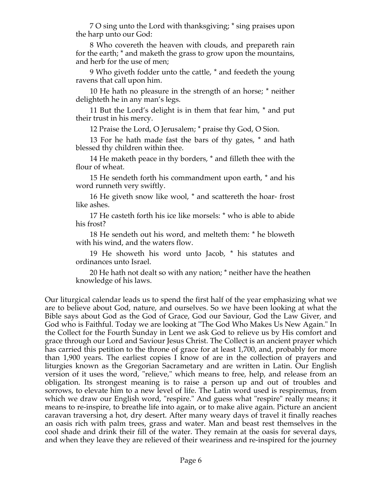7 O sing unto the Lord with thanksgiving; \* sing praises upon the harp unto our God:

8 Who covereth the heaven with clouds, and prepareth rain for the earth; \* and maketh the grass to grow upon the mountains, and herb for the use of men;

9 Who giveth fodder unto the cattle, \* and feedeth the young ravens that call upon him.

10 He hath no pleasure in the strength of an horse; \* neither delighteth he in any man's legs.

11 But the Lord's delight is in them that fear him, \* and put their trust in his mercy.

12 Praise the Lord, O Jerusalem; \* praise thy God, O Sion.

13 For he hath made fast the bars of thy gates, \* and hath blessed thy children within thee.

14 He maketh peace in thy borders, \* and filleth thee with the flour of wheat.

15 He sendeth forth his commandment upon earth, \* and his word runneth very swiftly.

16 He giveth snow like wool, \* and scattereth the hoar- frost like ashes.

17 He casteth forth his ice like morsels: \* who is able to abide his frost?

18 He sendeth out his word, and melteth them: \* he bloweth with his wind, and the waters flow.

19 He showeth his word unto Jacob, \* his statutes and ordinances unto Israel.

20 He hath not dealt so with any nation; \* neither have the heathen knowledge of his laws.

Our liturgical calendar leads us to spend the first half of the year emphasizing what we are to believe about God, nature, and ourselves. So we have been looking at what the Bible says about God as the God of Grace, God our Saviour, God the Law Giver, and God who is Faithful. Today we are looking at "The God Who Makes Us New Again." In the Collect for the Fourth Sunday in Lent we ask God to relieve us by His comfort and grace through our Lord and Saviour Jesus Christ. The Collect is an ancient prayer which has carried this petition to the throne of grace for at least 1,700, and, probably for more than 1,900 years. The earliest copies I know of are in the collection of prayers and liturgies known as the Gregorian Sacrametary and are written in Latin. Our English version of it uses the word, "relieve," which means to free, help, and release from an obligation. Its strongest meaning is to raise a person up and out of troubles and sorrows, to elevate him to a new level of life. The Latin word used is respiremus, from which we draw our English word, "respire." And guess what "respire" really means; it means to re-inspire, to breathe life into again, or to make alive again. Picture an ancient caravan traversing a hot, dry desert. After many weary days of travel it finally reaches an oasis rich with palm trees, grass and water. Man and beast rest themselves in the cool shade and drink their fill of the water. They remain at the oasis for several days, and when they leave they are relieved of their weariness and re-inspired for the journey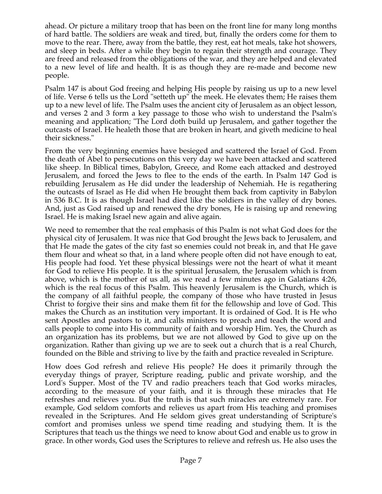ahead. Or picture a military troop that has been on the front line for many long months of hard battle. The soldiers are weak and tired, but, finally the orders come for them to move to the rear. There, away from the battle, they rest, eat hot meals, take hot showers, and sleep in beds. After a while they begin to regain their strength and courage. They are freed and released from the obligations of the war, and they are helped and elevated to a new level of life and health. It is as though they are re-made and become new people.

Psalm 147 is about God freeing and helping His people by raising us up to a new level of life. Verse 6 tells us the Lord "setteth up" the meek. He elevates them; He raises them up to a new level of life. The Psalm uses the ancient city of Jerusalem as an object lesson, and verses 2 and 3 form a key passage to those who wish to understand the Psalm's meaning and application; "The Lord doth build up Jerusalem, and gather together the outcasts of Israel. He healeth those that are broken in heart, and giveth medicine to heal their sickness."

From the very beginning enemies have besieged and scattered the Israel of God. From the death of Abel to persecutions on this very day we have been attacked and scattered like sheep. In Biblical times, Babylon, Greece, and Rome each attacked and destroyed Jerusalem, and forced the Jews to flee to the ends of the earth. In Psalm 147 God is rebuilding Jerusalem as He did under the leadership of Nehemiah. He is regathering the outcasts of Israel as He did when He brought them back from captivity in Babylon in 536 B.C. It is as though Israel had died like the soldiers in the valley of dry bones. And, just as God raised up and renewed the dry bones, He is raising up and renewing Israel. He is making Israel new again and alive again.

We need to remember that the real emphasis of this Psalm is not what God does for the physical city of Jerusalem. It was nice that God brought the Jews back to Jerusalem, and that He made the gates of the city fast so enemies could not break in, and that He gave them flour and wheat so that, in a land where people often did not have enough to eat, His people had food. Yet these physical blessings were not the heart of what it meant for God to relieve His people. It is the spiritual Jerusalem, the Jerusalem which is from above, which is the mother of us all, as we read a few minutes ago in Galatians 4:26, which is the real focus of this Psalm. This heavenly Jerusalem is the Church, which is the company of all faithful people, the company of those who have trusted in Jesus Christ to forgive their sins and make them fit for the fellowship and love of God. This makes the Church as an institution very important. It is ordained of God. It is He who sent Apostles and pastors to it, and calls ministers to preach and teach the word and calls people to come into His community of faith and worship Him. Yes, the Church as an organization has its problems, but we are not allowed by God to give up on the organization. Rather than giving up we are to seek out a church that is a real Church, founded on the Bible and striving to live by the faith and practice revealed in Scripture.

How does God refresh and relieve His people? He does it primarily through the everyday things of prayer, Scripture reading, public and private worship, and the Lord's Supper. Most of the TV and radio preachers teach that God works miracles, according to the measure of your faith, and it is through these miracles that He refreshes and relieves you. But the truth is that such miracles are extremely rare. For example, God seldom comforts and relieves us apart from His teaching and promises revealed in the Scriptures. And He seldom gives great understanding of Scripture's comfort and promises unless we spend time reading and studying them. It is the Scriptures that teach us the things we need to know about God and enable us to grow in grace. In other words, God uses the Scriptures to relieve and refresh us. He also uses the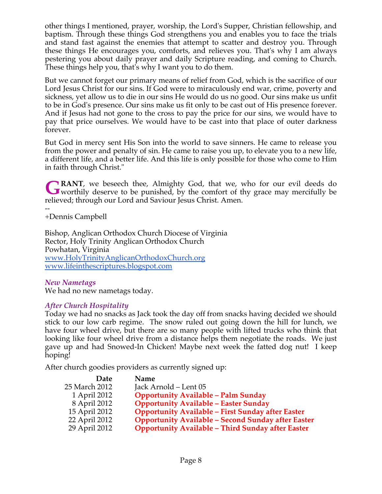other things I mentioned, prayer, worship, the Lord's Supper, Christian fellowship, and baptism. Through these things God strengthens you and enables you to face the trials and stand fast against the enemies that attempt to scatter and destroy you. Through these things He encourages you, comforts, and relieves you. That's why I am always pestering you about daily prayer and daily Scripture reading, and coming to Church. These things help you, that's why I want you to do them.

But we cannot forget our primary means of relief from God, which is the sacrifice of our Lord Jesus Christ for our sins. If God were to miraculously end war, crime, poverty and sickness, yet allow us to die in our sins He would do us no good. Our sins make us unfit to be in God's presence. Our sins make us fit only to be cast out of His presence forever. And if Jesus had not gone to the cross to pay the price for our sins, we would have to pay that price ourselves. We would have to be cast into that place of outer darkness forever.

But God in mercy sent His Son into the world to save sinners. He came to release you from the power and penalty of sin. He came to raise you up, to elevate you to a new life, a different life, and a better life. And this life is only possible for those who come to Him in faith through Christ."

**RANT**, we beseech thee, Almighty God, that we, who for our evil deeds do GRANT, we beseech thee, Almighty God, that we, who for our evil deeds do worthily deserve to be punished, by the comfort of thy grace may mercifully be relieved; through our Lord and Saviour Jesus Christ. Amen.

-- +Dennis Campbell

Bishop, Anglican Orthodox Church Diocese of Virginia Rector, Holy Trinity Anglican Orthodox Church Powhatan, Virginia www.HolyTrinityAnglicanOrthodoxChurch.org www.lifeinthescriptures.blogspot.com

*New Nametags* We had no new nametags today.

## *After Church Hospitality*

Today we had no snacks as Jack took the day off from snacks having decided we should stick to our low carb regime. The snow ruled out going down the hill for lunch, we have four wheel drive, but there are so many people with lifted trucks who think that looking like four wheel drive from a distance helps them negotiate the roads. We just gave up and had Snowed-In Chicken! Maybe next week the fatted dog nut! I keep hoping!

After church goodies providers as currently signed up:

| Date          | Name                                                      |
|---------------|-----------------------------------------------------------|
| 25 March 2012 | Jack Arnold – Lent 05                                     |
| 1 April 2012  | <b>Opportunity Available - Palm Sunday</b>                |
| 8 April 2012  | <b>Opportunity Available - Easter Sunday</b>              |
| 15 April 2012 | <b>Opportunity Available - First Sunday after Easter</b>  |
| 22 April 2012 | <b>Opportunity Available - Second Sunday after Easter</b> |
| 29 April 2012 | <b>Opportunity Available - Third Sunday after Easter</b>  |
|               |                                                           |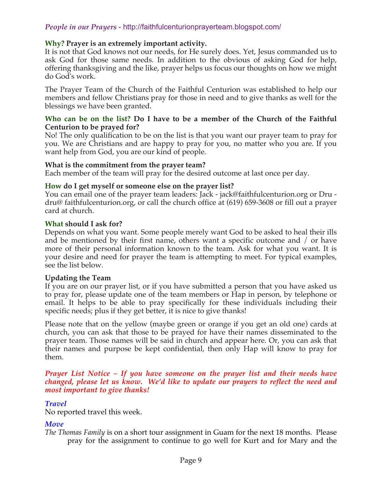# *People in our Prayers* - http://faithfulcenturionprayerteam.blogspot.com/

#### **Why? Prayer is an extremely important activity.**

It is not that God knows not our needs, for He surely does. Yet, Jesus commanded us to ask God for those same needs. In addition to the obvious of asking God for help, offering thanksgiving and the like, prayer helps us focus our thoughts on how we might do God's work.

The Prayer Team of the Church of the Faithful Centurion was established to help our members and fellow Christians pray for those in need and to give thanks as well for the blessings we have been granted.

#### **Who can be on the list? Do I have to be a member of the Church of the Faithful Centurion to be prayed for?**

No! The only qualification to be on the list is that you want our prayer team to pray for you. We are Christians and are happy to pray for you, no matter who you are. If you want help from God, you are our kind of people.

#### **What is the commitment from the prayer team?**

Each member of the team will pray for the desired outcome at last once per day.

#### **How do I get myself or someone else on the prayer list?**

You can email one of the prayer team leaders: Jack - jack@faithfulcenturion.org or Dru dru@ faithfulcenturion.org, or call the church office at (619) 659-3608 or fill out a prayer card at church.

#### **What should I ask for?**

Depends on what you want. Some people merely want God to be asked to heal their ills and be mentioned by their first name, others want a specific outcome and / or have more of their personal information known to the team. Ask for what you want. It is your desire and need for prayer the team is attempting to meet. For typical examples, see the list below.

#### **Updating the Team**

If you are on our prayer list, or if you have submitted a person that you have asked us to pray for, please update one of the team members or Hap in person, by telephone or email. It helps to be able to pray specifically for these individuals including their specific needs; plus if they get better, it is nice to give thanks!

Please note that on the yellow (maybe green or orange if you get an old one) cards at church, you can ask that those to be prayed for have their names disseminated to the prayer team. Those names will be said in church and appear here. Or, you can ask that their names and purpose be kept confidential, then only Hap will know to pray for them.

#### *Prayer List Notice – If you have someone on the prayer list and their needs have changed, please let us know. We'd like to update our prayers to reflect the need and most important to give thanks!*

## *Travel*

No reported travel this week.

## *Move*

*The Thomas Family* is on a short tour assignment in Guam for the next 18 months. Please pray for the assignment to continue to go well for Kurt and for Mary and the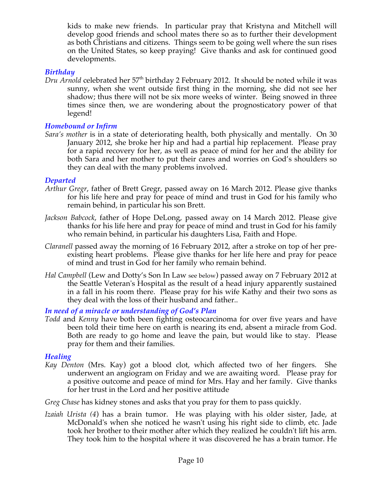kids to make new friends. In particular pray that Kristyna and Mitchell will develop good friends and school mates there so as to further their development as both Christians and citizens. Things seem to be going well where the sun rises on the United States, so keep praying! Give thanks and ask for continued good developments.

## *Birthday*

*Dru Arnold* celebrated her 57<sup>th</sup> birthday 2 February 2012. It should be noted while it was sunny, when she went outside first thing in the morning, she did not see her shadow; thus there will not be six more weeks of winter. Being snowed in three times since then, we are wondering about the prognosticatory power of that legend!

## *Homebound or Infirm*

*Sara's mother* is in a state of deteriorating health, both physically and mentally. On 30 January 2012, she broke her hip and had a partial hip replacement. Please pray for a rapid recovery for her, as well as peace of mind for her and the ability for both Sara and her mother to put their cares and worries on God's shoulders so they can deal with the many problems involved.

## *Departed*

- *Arthur Gregr*, father of Brett Gregr, passed away on 16 March 2012. Please give thanks for his life here and pray for peace of mind and trust in God for his family who remain behind, in particular his son Brett.
- *Jackson Babcock*, father of Hope DeLong, passed away on 14 March 2012. Please give thanks for his life here and pray for peace of mind and trust in God for his family who remain behind, in particular his daughters Lisa, Faith and Hope.
- *Claranell* passed away the morning of 16 February 2012, after a stroke on top of her preexisting heart problems. Please give thanks for her life here and pray for peace of mind and trust in God for her family who remain behind.
- *Hal Campbell* (Lew and Dotty's Son In Law see below) passed away on 7 February 2012 at the Seattle Veteran's Hospital as the result of a head injury apparently sustained in a fall in his room there. Please pray for his wife Kathy and their two sons as they deal with the loss of their husband and father..

## *In need of a miracle or understanding of God's Plan*

*Todd* and *Kenny* have both been fighting osteocarcinoma for over five years and have been told their time here on earth is nearing its end, absent a miracle from God. Both are ready to go home and leave the pain, but would like to stay. Please pray for them and their families.

# *Healing*

*Kay Denton* (Mrs. Kay) got a blood clot, which affected two of her fingers. She underwent an angiogram on Friday and we are awaiting word. Please pray for a positive outcome and peace of mind for Mrs. Hay and her family. Give thanks for her trust in the Lord and her positive attitude.

*Greg Chase* has kidney stones and asks that you pray for them to pass quickly.

*Izaiah Urista (4*) has a brain tumor. He was playing with his older sister, Jade, at McDonald's when she noticed he wasn't using his right side to climb, etc. Jade took her brother to their mother after which they realized he couldn't lift his arm. They took him to the hospital where it was discovered he has a brain tumor. He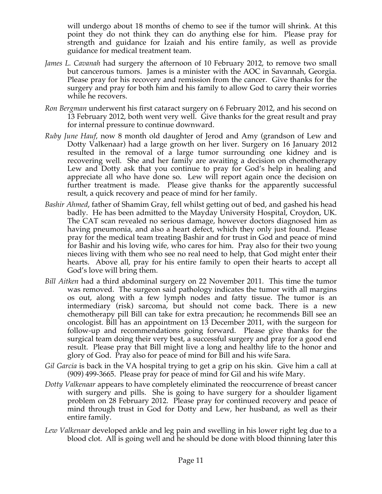will undergo about 18 months of chemo to see if the tumor will shrink. At this point they do not think they can do anything else for him. Please pray for strength and guidance for Izaiah and his entire family, as well as provide guidance for medical treatment team.

- *James L. Cavanah* had surgery the afternoon of 10 February 2012, to remove two small but cancerous tumors. James is a minister with the AOC in Savannah, Georgia. Please pray for his recovery and remission from the cancer. Give thanks for the surgery and pray for both him and his family to allow God to carry their worries while he recovers.
- *Ron Bergman* underwent his first cataract surgery on 6 February 2012, and his second on 13 February 2012, both went very well. Give thanks for the great result and pray for internal pressure to continue downward.
- *Ruby June Hauf*, now 8 month old daughter of Jerod and Amy (grandson of Lew and Dotty Valkenaar) had a large growth on her liver. Surgery on 16 January 2012 resulted in the removal of a large tumor surrounding one kidney and is recovering well. She and her family are awaiting a decision on chemotherapy Lew and Dotty ask that you continue to pray for God's help in healing and appreciate all who have done so. Lew will report again once the decision on further treatment is made. Please give thanks for the apparently successful result, a quick recovery and peace of mind for her family.
- *Bashir Ahmed*, father of Shamim Gray, fell whilst getting out of bed, and gashed his head badly. He has been admitted to the Mayday University Hospital, Croydon, UK. The CAT scan revealed no serious damage, however doctors diagnosed him as having pneumonia, and also a heart defect, which they only just found. Please pray for the medical team treating Bashir and for trust in God and peace of mind for Bashir and his loving wife, who cares for him. Pray also for their two young nieces living with them who see no real need to help, that God might enter their hearts. Above all, pray for his entire family to open their hearts to accept all God's love will bring them.
- *Bill Aitken* had a third abdominal surgery on 22 November 2011. This time the tumor was removed. The surgeon said pathology indicates the tumor with all margins os out, along with a few lymph nodes and fatty tissue. The tumor is an intermediary (risk) sarcoma, but should not come back. There is a new chemotherapy pill Bill can take for extra precaution; he recommends Bill see an oncologist. Bill has an appointment on 13 December 2011, with the surgeon for follow-up and recommendations going forward. Please give thanks for the surgical team doing their very best, a successful surgery and pray for a good end result. Please pray that Bill might live a long and healthy life to the honor and glory of God. Pray also for peace of mind for Bill and his wife Sara.
- *Gil Garcia* is back in the VA hospital trying to get a grip on his skin. Give him a call at (909) 499-3665. Please pray for peace of mind for Gil and his wife Mary.
- *Dotty Valkenaar* appears to have completely eliminated the reoccurrence of breast cancer with surgery and pills. She is going to have surgery for a shoulder ligament problem on 28 February 2012. Please pray for continued recovery and peace of mind through trust in God for Dotty and Lew, her husband, as well as their entire family.
- *Lew Valkenaar* developed ankle and leg pain and swelling in his lower right leg due to a blood clot. All is going well and he should be done with blood thinning later this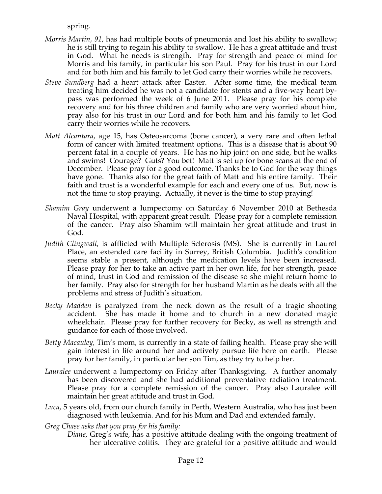spring.

- *Morris Martin, 91,* has had multiple bouts of pneumonia and lost his ability to swallow; he is still trying to regain his ability to swallow. He has a great attitude and trust in God. What he needs is strength. Pray for strength and peace of mind for Morris and his family, in particular his son Paul. Pray for his trust in our Lord and for both him and his family to let God carry their worries while he recovers.
- *Steve Sundberg* had a heart attack after Easter. After some time, the medical team treating him decided he was not a candidate for stents and a five-way heart bypass was performed the week of 6 June 2011. Please pray for his complete recovery and for his three children and family who are very worried about him, pray also for his trust in our Lord and for both him and his family to let God carry their worries while he recovers.
- *Matt Alcantara*, age 15, has Osteosarcoma (bone cancer), a very rare and often lethal form of cancer with limited treatment options. This is a disease that is about 90 percent fatal in a couple of years. He has no hip joint on one side, but he walks and swims! Courage? Guts? You bet! Matt is set up for bone scans at the end of December. Please pray for a good outcome. Thanks be to God for the way things have gone. Thanks also for the great faith of Matt and his entire family. Their faith and trust is a wonderful example for each and every one of us. But, now is not the time to stop praying. Actually, it never is the time to stop praying!
- *Shamim Gray* underwent a lumpectomy on Saturday 6 November 2010 at Bethesda Naval Hospital, with apparent great result. Please pray for a complete remission of the cancer. Pray also Shamim will maintain her great attitude and trust in God.
- *Judith Clingwall*, is afflicted with Multiple Sclerosis (MS). She is currently in Laurel Place, an extended care facility in Surrey, British Columbia. Judith's condition seems stable a present, although the medication levels have been increased. Please pray for her to take an active part in her own life, for her strength, peace of mind, trust in God and remission of the disease so she might return home to her family. Pray also for strength for her husband Martin as he deals with all the problems and stress of Judith's situation.
- *Becky Madden* is paralyzed from the neck down as the result of a tragic shooting accident. She has made it home and to church in a new donated magic wheelchair. Please pray for further recovery for Becky, as well as strength and guidance for each of those involved.
- *Betty Macauley,* Tim's mom, is currently in a state of failing health. Please pray she will gain interest in life around her and actively pursue life here on earth. Please pray for her family, in particular her son Tim, as they try to help her.
- *Lauralee* underwent a lumpectomy on Friday after Thanksgiving. A further anomaly has been discovered and she had additional preventative radiation treatment. Please pray for a complete remission of the cancer. Pray also Lauralee will maintain her great attitude and trust in God.
- *Luca*, 5 years old, from our church family in Perth, Western Australia, who has just been diagnosed with leukemia. And for his Mum and Dad and extended family.

*Greg Chase asks that you pray for his family:*

*Diane*, Greg's wife, has a positive attitude dealing with the ongoing treatment of her ulcerative colitis. They are grateful for a positive attitude and would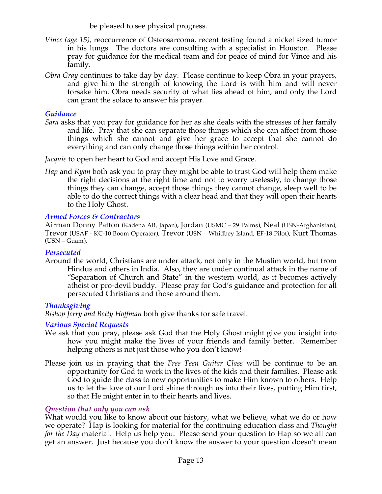be pleased to see physical progress.

- *Vince (age 15),* reoccurrence of Osteosarcoma, recent testing found a nickel sized tumor in his lungs. The doctors are consulting with a specialist in Houston. Please pray for guidance for the medical team and for peace of mind for Vince and his family.
- *Obra Gray* continues to take day by day. Please continue to keep Obra in your prayers, and give him the strength of knowing the Lord is with him and will never forsake him. Obra needs security of what lies ahead of him, and only the Lord can grant the solace to answer his prayer.

## *Guidance*

*Sara* asks that you pray for guidance for her as she deals with the stresses of her family and life. Pray that she can separate those things which she can affect from those things which she cannot and give her grace to accept that she cannot do everything and can only change those things within her control.

*Jacquie* to open her heart to God and accept His Love and Grace.

*Hap* and *Ryan* both ask you to pray they might be able to trust God will help them make the right decisions at the right time and not to worry uselessly, to change those things they can change, accept those things they cannot change, sleep well to be able to do the correct things with a clear head and that they will open their hearts to the Holy Ghost.

# *Armed Forces & Contractors*

Airman Donny Patton (Kadena AB, Japan), Jordan (USMC – 29 Palms), Neal (USN-Afghanistan), Trevor (USAF - KC-10 Boom Operator), Trevor (USN – Whidbey Island, EF-18 Pilot), Kurt Thomas (USN – Guam),

# *Persecuted*

Around the world, Christians are under attack, not only in the Muslim world, but from Hindus and others in India. Also, they are under continual attack in the name of "Separation of Church and State" in the western world, as it becomes actively atheist or pro-devil buddy. Please pray for God's guidance and protection for all persecuted Christians and those around them.

# *Thanksgiving*

*Bishop Jerry and Betty Hoffman* both give thanks for safe travel.

# *Various Special Requests*

- We ask that you pray, please ask God that the Holy Ghost might give you insight into how you might make the lives of your friends and family better. Remember helping others is not just those who you don't know!
- Please join us in praying that the *Free Teen Guitar Class* will be continue to be an opportunity for God to work in the lives of the kids and their families. Please ask God to guide the class to new opportunities to make Him known to others. Help us to let the love of our Lord shine through us into their lives, putting Him first, so that He might enter in to their hearts and lives.

# *Question that only you can ask*

What would you like to know about our history, what we believe, what we do or how we operate? Hap is looking for material for the continuing education class and *Thought for the Day* material. Help us help you. Please send your question to Hap so we all can get an answer. Just because you don't know the answer to your question doesn't mean